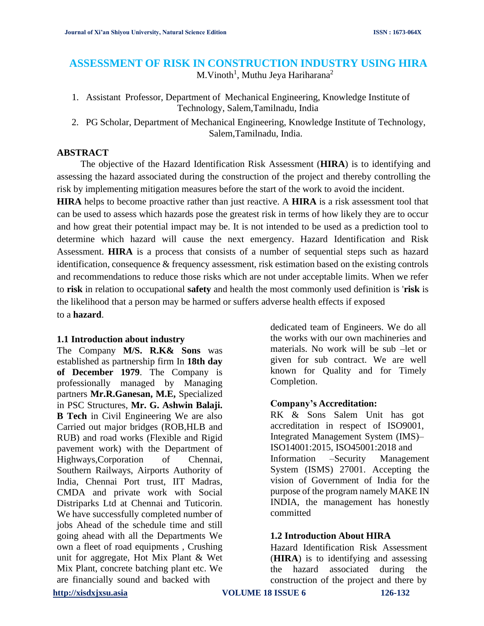# **ASSESSMENT OF RISK IN CONSTRUCTION INDUSTRY USING HIRA**  $M. V$ inoth<sup>1</sup>, Muthu Jeya Hariharana<sup>2</sup>

- 1. Assistant Professor, Department of Mechanical Engineering, Knowledge Institute of Technology, Salem,Tamilnadu, India
- 2. PG Scholar, Department of Mechanical Engineering, Knowledge Institute of Technology, Salem,Tamilnadu, India.

# **ABSTRACT**

The objective of the Hazard Identification Risk Assessment (**HIRA**) is to identifying and assessing the hazard associated during the construction of the project and thereby controlling the risk by implementing mitigation measures before the start of the work to avoid the incident.

**HIRA** helps to become proactive rather than just reactive. A **HIRA** is a risk assessment tool that can be used to assess which hazards pose the greatest risk in terms of how likely they are to occur and how great their potential impact may be. It is not intended to be used as a prediction tool to determine which hazard will cause the next emergency. Hazard Identification and Risk Assessment. **HIRA** is a process that consists of a number of sequential steps such as hazard identification, consequence & frequency assessment, risk estimation based on the existing controls and recommendations to reduce those risks which are not under acceptable limits. When we refer to **risk** in relation to occupational **safety** and health the most commonly used definition is '**risk** is the likelihood that a person may be harmed or suffers adverse health effects if exposed to a **hazard**.

# **1.1 Introduction about industry**

The Company **M/S. R.K& Sons** was established as partnership firm In **18th day of December 1979**. The Company is professionally managed by Managing partners **Mr.R.Ganesan, M.E,** Specialized in PSC Structures, **Mr. G. Ashwin Balaji. B Tech** in Civil Engineering We are also Carried out major bridges (ROB,HLB and RUB) and road works (Flexible and Rigid pavement work) with the Department of Highways,Corporation of Chennai, Southern Railways, Airports Authority of India, Chennai Port trust, IIT Madras, CMDA and private work with Social Distriparks Ltd at Chennai and Tuticorin. We have successfully completed number of jobs Ahead of the schedule time and still going ahead with all the Departments We own a fleet of road equipments , Crushing unit for aggregate, Hot Mix Plant & Wet Mix Plant, concrete batching plant etc. We are financially sound and backed with

dedicated team of Engineers. We do all the works with our own machineries and materials. No work will be sub –let or given for sub contract. We are well known for Quality and for Timely Completion.

# **Company's Accreditation:**

RK & Sons Salem Unit has got accreditation in respect of ISO9001, Integrated Management System (IMS)– ISO14001:2015, ISO45001:2018 and Information –Security Management System (ISMS) 27001. Accepting the vision of Government of India for the purpose of the program namely MAKE IN INDIA, the management has honestly committed

# **1.2 Introduction About HIRA**

Hazard Identification Risk Assessment (**HIRA**) is to identifying and assessing the hazard associated during the construction of the project and there by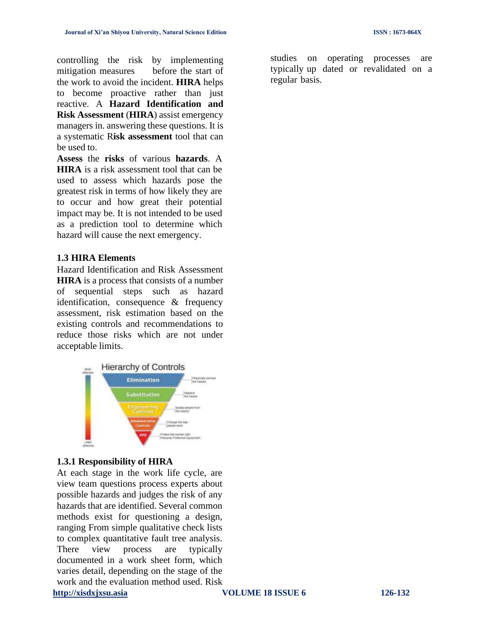controlling the risk by implementing mitigation measures before the start of the work to avoid the incident. **HIRA** helps to become proactive rather than just reactive. A **Hazard Identification and Risk Assessment** (**HIRA**) assist emergency managers in. answering these questions. It is a systematic R**isk assessment** tool that can be used to.

**Assess** the **risks** of various **hazards**. A **HIRA** is a risk assessment tool that can be used to assess which hazards pose the greatest risk in terms of how likely they are to occur and how great their potential impact may be. It is not intended to be used as a prediction tool to determine which hazard will cause the next emergency.

# **1.3 HIRA Elements**

Hazard Identification and Risk Assessment **HIRA** is a process that consists of a number of sequential steps such as hazard identification, consequence & frequency assessment, risk estimation based on the existing controls and recommendations to reduce those risks which are not under acceptable limits.



# **1.3.1 Responsibility of HIRA**

**[http://xisdxjxsu.asia](http://xisdxjxsu.asia/) VOLUME 18 ISSUE 6 126-132** At each stage in the work life cycle, are view team questions process experts about possible hazards and judges the risk of any hazards that are identified. Several common methods exist for questioning a design, ranging From simple qualitative check lists to complex quantitative fault tree analysis. There view process are typically documented in a work sheet form, which varies detail, depending on the stage of the work and the evaluation method used. Risk

studies on operating processes are typically up dated or revalidated on a regular basis.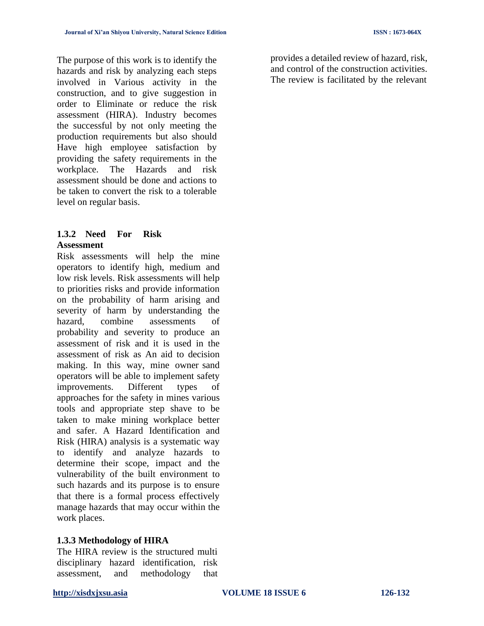The purpose of this work is to identify the hazards and risk by analyzing each steps involved in Various activity in the construction, and to give suggestion in order to Eliminate or reduce the risk assessment (HIRA). Industry becomes the successful by not only meeting the production requirements but also should Have high employee satisfaction by providing the safety requirements in the workplace. The Hazards and risk assessment should be done and actions to be taken to convert the risk to a tolerable level on regular basis.

# **1.3.2 Need For Risk Assessment**

Risk assessments will help the mine operators to identify high, medium and low risk levels. Risk assessments will help to priorities risks and provide information on the probability of harm arising and severity of harm by understanding the hazard, combine assessments of probability and severity to produce an assessment of risk and it is used in the assessment of risk as An aid to decision making. In this way, mine owner sand operators will be able to implement safety improvements. Different types of approaches for the safety in mines various tools and appropriate step shave to be taken to make mining workplace better and safer. A Hazard Identification and Risk (HIRA) analysis is a systematic way to identify and analyze hazards to determine their scope, impact and the vulnerability of the built environment to such hazards and its purpose is to ensure that there is a formal process effectively manage hazards that may occur within the work places.

# **1.3.3 Methodology of HIRA**

The HIRA review is the structured multi disciplinary hazard identification, risk assessment, and methodology that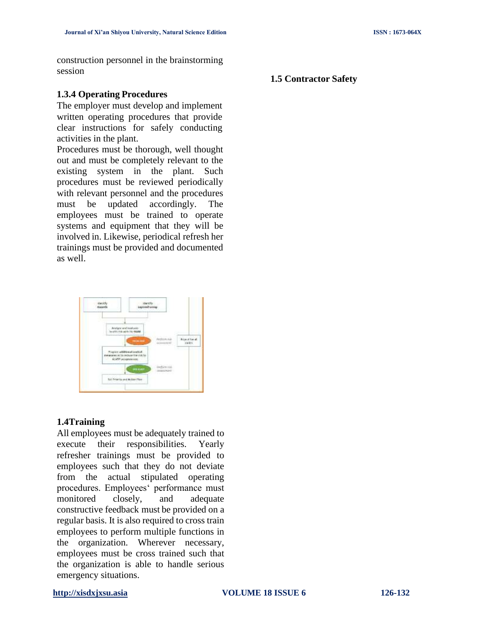construction personnel in the brainstorming session

## **1.5 Contractor Safety**

#### **1.3.4 Operating Procedures**

The employer must develop and implement written operating procedures that provide clear instructions for safely conducting activities in the plant.

Procedures must be thorough, well thought out and must be completely relevant to the existing system in the plant. Such procedures must be reviewed periodically with relevant personnel and the procedures must be updated accordingly. The employees must be trained to operate systems and equipment that they will be involved in. Likewise, periodical refresh her trainings must be provided and documented as well.



#### **1.4Training**

All employees must be adequately trained to execute their responsibilities. Yearly refresher trainings must be provided to employees such that they do not deviate from the actual stipulated operating procedures. Employees' performance must monitored closely, and adequate constructive feedback must be provided on a regular basis. It is also required to cross train employees to perform multiple functions in the organization. Wherever necessary, employees must be cross trained such that the organization is able to handle serious emergency situations.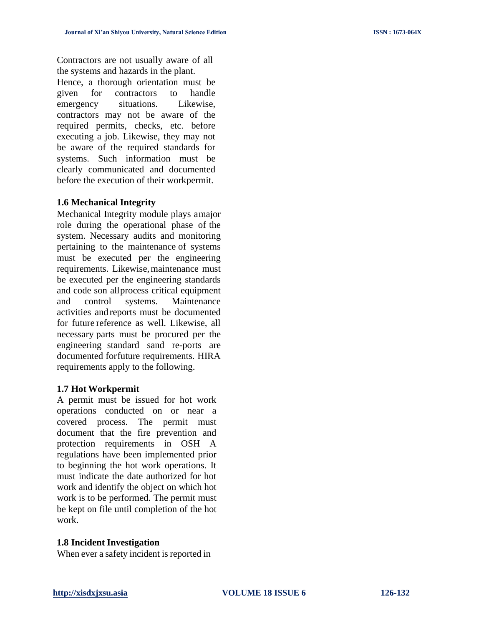Contractors are not usually aware of all the systems and hazards in the plant.

Hence, a thorough orientation must be given for contractors to handle emergency situations. Likewise, contractors may not be aware of the required permits, checks, etc. before executing a job. Likewise, they may not be aware of the required standards for systems. Such information must be clearly communicated and documented before the execution of their workpermit.

### **1.6 Mechanical Integrity**

Mechanical Integrity module plays amajor role during the operational phase of the system. Necessary audits and monitoring pertaining to the maintenance of systems must be executed per the engineering requirements. Likewise, maintenance must be executed per the engineering standards and code son allprocess critical equipment and control systems. Maintenance activities and reports must be documented for future reference as well. Likewise, all necessary parts must be procured per the engineering standard sand re-ports are documented forfuture requirements. HIRA requirements apply to the following.

#### **1.7 Hot Workpermit**

A permit must be issued for hot work operations conducted on or near a covered process. The permit must document that the fire prevention and protection requirements in OSH A regulations have been implemented prior to beginning the hot work operations. It must indicate the date authorized for hot work and identify the object on which hot work is to be performed. The permit must be kept on file until completion of the hot work.

#### **1.8 Incident Investigation**

When ever a safety incident is reported in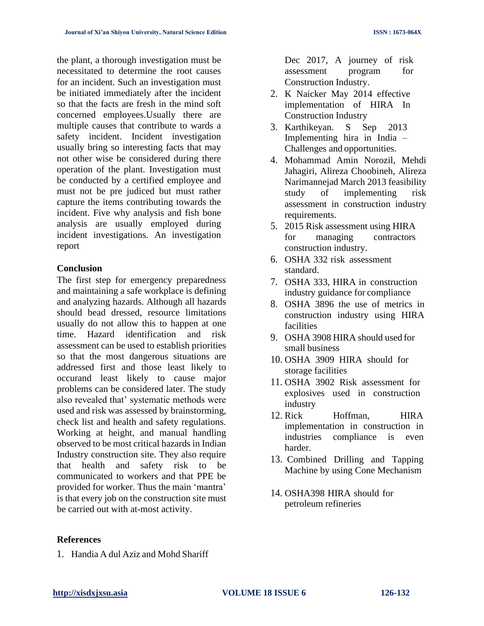the plant, a thorough investigation must be necessitated to determine the root causes for an incident. Such an investigation must be initiated immediately after the incident so that the facts are fresh in the mind soft concerned employees.Usually there are multiple causes that contribute to wards a safety incident. Incident investigation usually bring so interesting facts that may not other wise be considered during there operation of the plant. Investigation must be conducted by a certified employee and must not be pre judiced but must rather capture the items contributing towards the incident. Five why analysis and fish bone analysis are usually employed during incident investigations. An investigation report

#### **Conclusion**

The first step for emergency preparedness and maintaining a safe workplace is defining and analyzing hazards. Although all hazards should bead dressed, resource limitations usually do not allow this to happen at one time. Hazard identification and risk assessment can be used to establish priorities so that the most dangerous situations are addressed first and those least likely to occurand least likely to cause major problems can be considered later. The study also revealed that' systematic methods were used and risk was assessed by brainstorming, check list and health and safety regulations. Working at height, and manual handling observed to be most critical hazards in Indian Industry construction site. They also require that health and safety risk to be communicated to workers and that PPE be provided for worker. Thus the main 'mantra' is that every job on the construction site must be carried out with at-most activity.

Dec 2017, A journey of risk assessment program for Construction Industry.

- 2. K Naicker May 2014 effective implementation of HIRA In Construction Industry
- 3. Karthikeyan. S Sep 2013 Implementing hira in India – Challenges and opportunities.
- 4. Mohammad Amin Norozil, Mehdi Jahagiri, Alireza Choobineh, Alireza Narimannejad March 2013 feasibility study of implementing risk assessment in construction industry requirements.
- 5. 2015 Risk assessment using HIRA for managing contractors construction industry.
- 6. OSHA 332 risk assessment standard.
- 7. OSHA 333, HIRA in construction industry guidance for compliance
- 8. OSHA 3896 the use of metrics in construction industry using HIRA facilities
- 9. OSHA 3908 HIRA should used for small business
- 10. OSHA 3909 HIRA should for storage facilities
- 11. OSHA 3902 Risk assessment for explosives used in construction industry
- 12. Rick Hoffman, HIRA implementation in construction in industries compliance is even harder.
- 13. Combined Drilling and Tapping Machine by using Cone Mechanism
- 14. OSHA398 HIRA should for petroleum refineries

#### **References**

1. Handia A dul Aziz and Mohd Shariff